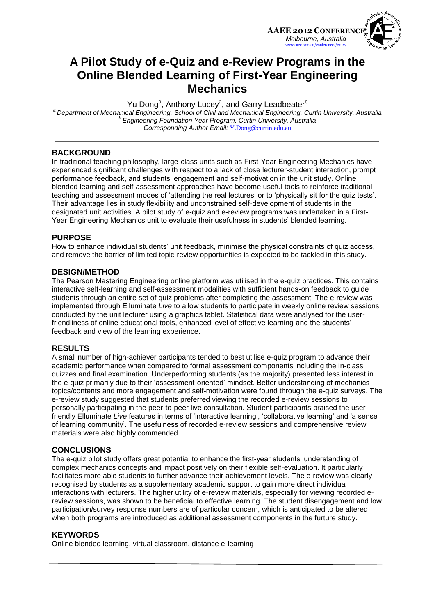

## **A Pilot Study of e-Quiz and e-Review Programs in the Online Blended Learning of First-Year Engineering Mechanics**

Yu Dong<sup>a</sup>, Anthony Lucey<sup>a</sup>, and Garry Leadbeater<sup>b</sup> *<sup>a</sup>Department of Mechanical Engineering, School of Civil and Mechanical Engineering, Curtin University, Australia <sup>b</sup>Engineering Foundation Year Program, Curtin University, Australia Corresponding Author Email:* [Y.Dong@curtin.edu.au](mailto:Y.Dong@curtin.edu.au)

## **BACKGROUND**

In traditional teaching philosophy, large-class units such as First-Year Engineering Mechanics have experienced significant challenges with respect to a lack of close lecturer-student interaction, prompt performance feedback, and students' engagement and self-motivation in the unit study. Online blended learning and self-assessment approaches have become useful tools to reinforce traditional teaching and assessment modes of 'attending the real lectures' or to 'physically sit for the quiz tests'. Their advantage lies in study flexibility and unconstrained self-development of students in the designated unit activities. A pilot study of e-quiz and e-review programs was undertaken in a First-Year Engineering Mechanics unit to evaluate their usefulness in students' blended learning.

#### **PURPOSE**

How to enhance individual students' unit feedback, minimise the physical constraints of quiz access, and remove the barrier of limited topic-review opportunities is expected to be tackled in this study.

#### **DESIGN/METHOD**

The Pearson Mastering Engineering online platform was utilised in the e-quiz practices. This contains interactive self-learning and self-assessment modalities with sufficient hands-on feedback to guide students through an entire set of quiz problems after completing the assessment. The e-review was implemented through Elluminate *Live* to allow students to participate in weekly online review sessions conducted by the unit lecturer using a graphics tablet. Statistical data were analysed for the userfriendliness of online educational tools, enhanced level of effective learning and the students' feedback and view of the learning experience.

#### **RESULTS**

A small number of high-achiever participants tended to best utilise e-quiz program to advance their academic performance when compared to formal assessment components including the in-class quizzes and final examination. Underperforming students (as the majority) presented less interest in the e-quiz primarily due to their 'assessment-oriented' mindset. Better understanding of mechanics topics/contents and more engagement and self-motivation were found through the e-quiz surveys. The e-review study suggested that students preferred viewing the recorded e-review sessions to personally participating in the peer-to-peer live consultation. Student participants praised the userfriendly Elluminate *Live* features in terms of 'interactive learning', 'collaborative learning' and 'a sense of learning community'. The usefulness of recorded e-review sessions and comprehensive review materials were also highly commended.

#### **CONCLUSIONS**

The e-quiz pilot study offers great potential to enhance the first-year students' understanding of complex mechanics concepts and impact positively on their flexible self-evaluation. It particularly facilitates more able students to further advance their achievement levels. The e-review was clearly recognised by students as a supplementary academic support to gain more direct individual interactions with lecturers. The higher utility of e-review materials, especially for viewing recorded ereview sessions, was shown to be beneficial to effective learning. The student disengagement and low participation/survey response numbers are of particular concern, which is anticipated to be altered when both programs are introduced as additional assessment components in the furture study.

#### **KEYWORDS**

Online blended learning, virtual classroom, distance e-learning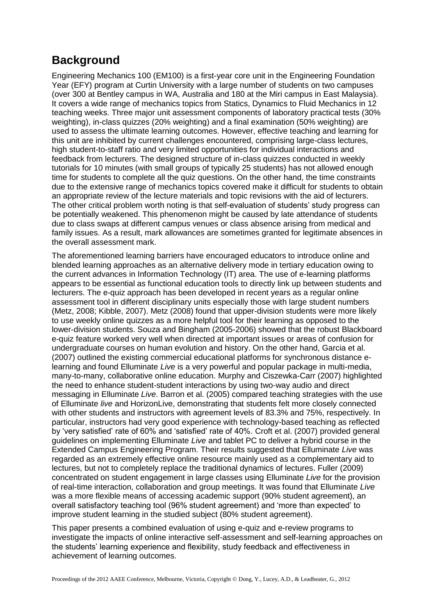# **Background**

Engineering Mechanics 100 (EM100) is a first-year core unit in the Engineering Foundation Year (EFY) program at Curtin University with a large number of students on two campuses (over 300 at Bentley campus in WA, Australia and 180 at the Miri campus in East Malaysia). It covers a wide range of mechanics topics from Statics, Dynamics to Fluid Mechanics in 12 teaching weeks. Three major unit assessment components of laboratory practical tests (30% weighting), in-class quizzes (20% weighting) and a final examination (50% weighting) are used to assess the ultimate learning outcomes. However, effective teaching and learning for this unit are inhibited by current challenges encountered, comprising large-class lectures, high student-to-staff ratio and very limited opportunities for individual interactions and feedback from lecturers. The designed structure of in-class quizzes conducted in weekly tutorials for 10 minutes (with small groups of typically 25 students) has not allowed enough time for students to complete all the quiz questions. On the other hand, the time constraints due to the extensive range of mechanics topics covered make it difficult for students to obtain an appropriate review of the lecture materials and topic revisions with the aid of lecturers. The other critical problem worth noting is that self-evaluation of students' study progress can be potentially weakened. This phenomenon might be caused by late attendance of students due to class swaps at different campus venues or class absence arising from medical and family issues. As a result, mark allowances are sometimes granted for legitimate absences in the overall assessment mark.

The aforementioned learning barriers have encouraged educators to introduce online and blended learning approaches as an alternative delivery mode in tertiary education owing to the current advances in Information Technology (IT) area. The use of e-learning platforms appears to be essential as functional education tools to directly link up between students and lecturers. The e-quiz approach has been developed in recent years as a regular online assessment tool in different disciplinary units especially those with large student numbers (Metz, 2008; Kibble, 2007). Metz (2008) found that upper-division students were more likely to use weekly online quizzes as a more helpful tool for their learning as opposed to the lower-division students. Souza and Bingham (2005-2006) showed that the robust Blackboard e-quiz feature worked very well when directed at important issues or areas of confusion for undergraduate courses on human evolution and history. On the other hand, Garcia et al. (2007) outlined the existing commercial educational platforms for synchronous distance elearning and found Elluminate *Live* is a very powerful and popular package in multi-media, many-to-many, collaborative online education. Murphy and Ciszewka-Carr (2007) highlighted the need to enhance student-student interactions by using two-way audio and direct messaging in Elluminate *Live*. Barron et al. (2005) compared teaching strategies with the use of Elluminate *live* and HorizonLive, demonstrating that students felt more closely connected with other students and instructors with agreement levels of 83.3% and 75%, respectively. In particular, instructors had very good experience with technology-based teaching as reflected by 'very satisfied' rate of 60% and 'satisfied' rate of 40%. Croft et al. (2007) provided general guidelines on implementing Elluminate *Live* and tablet PC to deliver a hybrid course in the Extended Campus Engineering Program. Their results suggested that Elluminate *Live* was regarded as an extremely effective online resource mainly used as a complementary aid to lectures, but not to completely replace the traditional dynamics of lectures. Fuller (2009) concentrated on student engagement in large classes using Elluminate *Live* for the provision of real-time interaction, collaboration and group meetings. It was found that Elluminate *Live*  was a more flexible means of accessing academic support (90% student agreement), an overall satisfactory teaching tool (96% student agreement) and 'more than expected' to improve student learning in the studied subject (80% student agreement).

This paper presents a combined evaluation of using e-quiz and e-review programs to investigate the impacts of online interactive self-assessment and self-learning approaches on the students' learning experience and flexibility, study feedback and effectiveness in achievement of learning outcomes.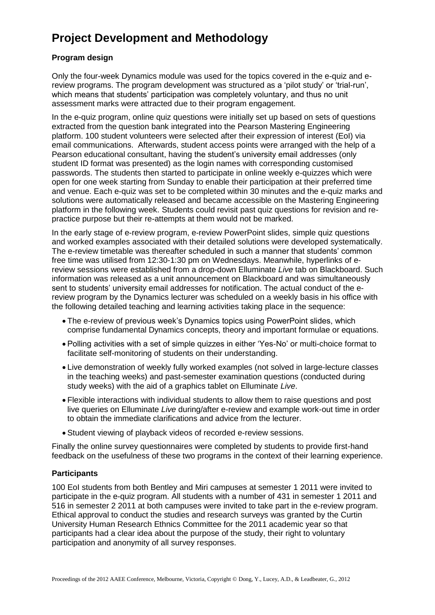# **Project Development and Methodology**

## **Program design**

Only the four-week Dynamics module was used for the topics covered in the e-quiz and ereview programs. The program development was structured as a 'pilot study' or 'trial-run', which means that students' participation was completely voluntary, and thus no unit assessment marks were attracted due to their program engagement.

In the e-quiz program, online quiz questions were initially set up based on sets of questions extracted from the question bank integrated into the Pearson Mastering Engineering platform. 100 student volunteers were selected after their expression of interest (EoI) via email communications. Afterwards, student access points were arranged with the help of a Pearson educational consultant, having the student's university email addresses (only student ID format was presented) as the login names with corresponding customised passwords. The students then started to participate in online weekly e-quizzes which were open for one week starting from Sunday to enable their participation at their preferred time and venue. Each e-quiz was set to be completed within 30 minutes and the e-quiz marks and solutions were automatically released and became accessible on the Mastering Engineering platform in the following week. Students could revisit past quiz questions for revision and repractice purpose but their re-attempts at them would not be marked.

In the early stage of e-review program, e-review PowerPoint slides, simple quiz questions and worked examples associated with their detailed solutions were developed systematically. The e-review timetable was thereafter scheduled in such a manner that students' common free time was utilised from 12:30-1:30 pm on Wednesdays. Meanwhile, hyperlinks of ereview sessions were established from a drop-down Elluminate *Live* tab on Blackboard. Such information was released as a unit announcement on Blackboard and was simultaneously sent to students' university email addresses for notification. The actual conduct of the ereview program by the Dynamics lecturer was scheduled on a weekly basis in his office with the following detailed teaching and learning activities taking place in the sequence:

- The e-review of previous week's Dynamics topics using PowerPoint slides, which comprise fundamental Dynamics concepts, theory and important formulae or equations.
- Polling activities with a set of simple quizzes in either 'Yes-No' or multi-choice format to facilitate self-monitoring of students on their understanding.
- Live demonstration of weekly fully worked examples (not solved in large-lecture classes in the teaching weeks) and past-semester examination questions (conducted during study weeks) with the aid of a graphics tablet on Elluminate *Live*.
- Flexible interactions with individual students to allow them to raise questions and post live queries on Elluminate *Live* during/after e-review and example work-out time in order to obtain the immediate clarifications and advice from the lecturer.
- Student viewing of playback videos of recorded e-review sessions.

Finally the online survey questionnaires were completed by students to provide first-hand feedback on the usefulness of these two programs in the context of their learning experience.

## **Participants**

100 EoI students from both Bentley and Miri campuses at semester 1 2011 were invited to participate in the e-quiz program. All students with a number of 431 in semester 1 2011 and 516 in semester 2 2011 at both campuses were invited to take part in the e-review program. Ethical approval to conduct the studies and research surveys was granted by the Curtin University Human Research Ethnics Committee for the 2011 academic year so that participants had a clear idea about the purpose of the study, their right to voluntary participation and anonymity of all survey responses.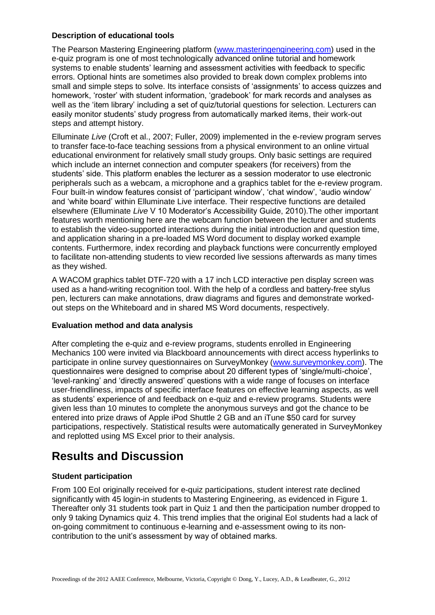## **Description of educational tools**

The Pearson Mastering Engineering platform [\(www.masteringengineering.com\)](http://www.masteringengineering.com/) used in the e-quiz program is one of most technologically advanced online tutorial and homework systems to enable students' learning and assessment activities with feedback to specific errors. Optional hints are sometimes also provided to break down complex problems into small and simple steps to solve. Its interface consists of 'assignments' to access quizzes and homework, 'roster' with student information, 'gradebook' for mark records and analyses as well as the 'item library' including a set of quiz/tutorial questions for selection. Lecturers can easily monitor students' study progress from automatically marked items, their work-out steps and attempt history.

Elluminate *Live* (Croft et al., 2007; Fuller, 2009) implemented in the e-review program serves to transfer face-to-face teaching sessions from a physical environment to an online virtual educational environment for relatively small study groups. Only basic settings are required which include an internet connection and computer speakers (for receivers) from the students' side. This platform enables the lecturer as a session moderator to use electronic peripherals such as a webcam, a microphone and a graphics tablet for the e-review program. Four built-in window features consist of 'participant window', 'chat window', 'audio window' and 'white board' within Elluminate Live interface. Their respective functions are detailed elsewhere (Elluminate *Live* V 10 Moderator's Accessibility Guide, 2010).The other important features worth mentioning here are the webcam function between the lecturer and students to establish the video-supported interactions during the initial introduction and question time, and application sharing in a pre-loaded MS Word document to display worked example contents. Furthermore, index recording and playback functions were concurrently employed to facilitate non-attending students to view recorded live sessions afterwards as many times as they wished.

A WACOM graphics tablet DTF-720 with a 17 inch LCD interactive pen display screen was used as a hand-writing recognition tool. With the help of a cordless and battery-free stylus pen, lecturers can make annotations, draw diagrams and figures and demonstrate workedout steps on the Whiteboard and in shared MS Word documents, respectively.

## **Evaluation method and data analysis**

After completing the e-quiz and e-review programs, students enrolled in Engineering Mechanics 100 were invited via Blackboard announcements with direct access hyperlinks to participate in online survey questionnaires on SurveyMonkey [\(www.surveymonkey.com\)](http://www.surveymonkey.com/). The questionnaires were designed to comprise about 20 different types of 'single/multi-choice', 'level-ranking' and 'directly answered' questions with a wide range of focuses on interface user-friendliness, impacts of specific interface features on effective learning aspects, as well as students' experience of and feedback on e-quiz and e-review programs. Students were given less than 10 minutes to complete the anonymous surveys and got the chance to be entered into prize draws of Apple iPod Shuttle 2 GB and an iTune \$50 card for survey participations, respectively. Statistical results were automatically generated in SurveyMonkey and replotted using MS Excel prior to their analysis.

# **Results and Discussion**

## **Student participation**

From 100 EoI originally received for e-quiz participations, student interest rate declined significantly with 45 login-in students to Mastering Engineering, as evidenced in Figure 1. Thereafter only 31 students took part in Quiz 1 and then the participation number dropped to only 9 taking Dynamics quiz 4. This trend implies that the original EoI students had a lack of on-going commitment to continuous e-learning and e-assessment owing to its noncontribution to the unit's assessment by way of obtained marks.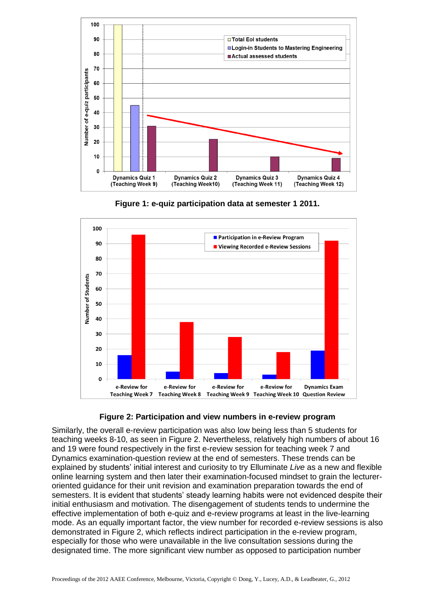







Similarly, the overall e-review participation was also low being less than 5 students for teaching weeks 8-10, as seen in Figure 2. Nevertheless, relatively high numbers of about 16 and 19 were found respectively in the first e-review session for teaching week 7 and Dynamics examination-question review at the end of semesters. These trends can be explained by students' initial interest and curiosity to try Elluminate *Live* as a new and flexible online learning system and then later their examination-focused mindset to grain the lectureroriented guidance for their unit revision and examination preparation towards the end of semesters. It is evident that students' steady learning habits were not evidenced despite their initial enthusiasm and motivation. The disengagement of students tends to undermine the effective implementation of both e-quiz and e-review programs at least in the live-learning mode. As an equally important factor, the view number for recorded e-review sessions is also demonstrated in Figure 2, which reflects indirect participation in the e-review program, especially for those who were unavailable in the live consultation sessions during the designated time. The more significant view number as opposed to participation number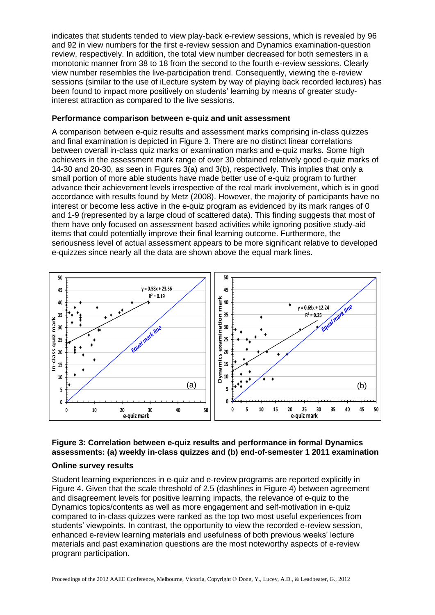indicates that students tended to view play-back e-review sessions, which is revealed by 96 and 92 in view numbers for the first e-review session and Dynamics examination-question review, respectively. In addition, the total view number decreased for both semesters in a monotonic manner from 38 to 18 from the second to the fourth e-review sessions. Clearly view number resembles the live-participation trend. Consequently, viewing the e-review sessions (similar to the use of iLecture system by way of playing back recorded lectures) has been found to impact more positively on students' learning by means of greater studyinterest attraction as compared to the live sessions.

### **Performance comparison between e-quiz and unit assessment**

A comparison between e-quiz results and assessment marks comprising in-class quizzes and final examination is depicted in Figure 3. There are no distinct linear correlations between overall in-class quiz marks or examination marks and e-quiz marks. Some high achievers in the assessment mark range of over 30 obtained relatively good e-quiz marks of 14-30 and 20-30, as seen in Figures 3(a) and 3(b), respectively. This implies that only a small portion of more able students have made better use of e-quiz program to further advance their achievement levels irrespective of the real mark involvement, which is in good accordance with results found by Metz (2008). However, the majority of participants have no interest or become less active in the e-quiz program as evidenced by its mark ranges of 0 and 1-9 (represented by a large cloud of scattered data). This finding suggests that most of them have only focused on assessment based activities while ignoring positive study-aid items that could potentially improve their final learning outcome. Furthermore, the seriousness level of actual assessment appears to be more significant relative to developed e-quizzes since nearly all the data are shown above the equal mark lines.



## **Figure 3: Correlation between e-quiz results and performance in formal Dynamics assessments: (a) weekly in-class quizzes and (b) end-of-semester 1 2011 examination**

## **Online survey results**

Student learning experiences in e-quiz and e-review programs are reported explicitly in Figure 4. Given that the scale threshold of 2.5 (dashlines in Figure 4) between agreement and disagreement levels for positive learning impacts, the relevance of e-quiz to the Dynamics topics/contents as well as more engagement and self-motivation in e-quiz compared to in-class quizzes were ranked as the top two most useful experiences from students' viewpoints. In contrast, the opportunity to view the recorded e-review session, enhanced e-review learning materials and usefulness of both previous weeks' lecture materials and past examination questions are the most noteworthy aspects of e-review program participation.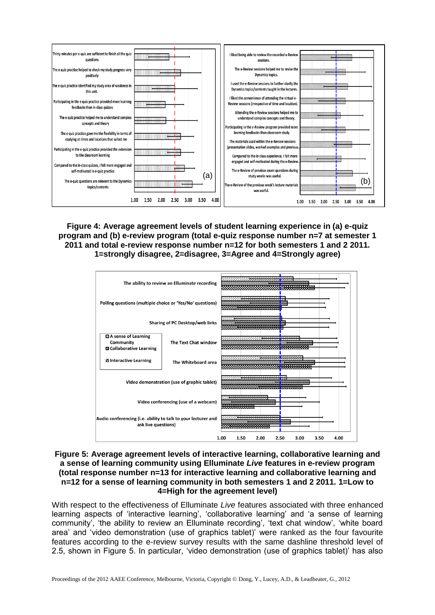

**Figure 4: Average agreement levels of student learning experience in (a) e-quiz program and (b) e-review program (total e-quiz response number n=7 at semester 1 2011 and total e-review response number n=12 for both semesters 1 and 2 2011. 1=strongly disagree, 2=disagree, 3=Agree and 4=Strongly agree)**



### **Figure 5: Average agreement levels of interactive learning, collaborative learning and a sense of learning community using Elluminate** *Live* **features in e-review program (total response number n=13 for interactive learning and collaborative learning and n=12 for a sense of learning community in both semesters 1 and 2 2011. 1=Low to 4=High for the agreement level)**

With respect to the effectiveness of Elluminate *Live* features associated with three enhanced learning aspects of 'interactive learning', 'collaborative learning' and 'a sense of learning community', 'the ability to review an Elluminate recording', 'text chat window', 'white board area' and 'video demonstration (use of graphics tablet)' were ranked as the four favourite features according to the e-review survey results with the same dashline threshold level of 2.5, shown in Figure 5. In particular, 'video demonstration (use of graphics tablet)' has also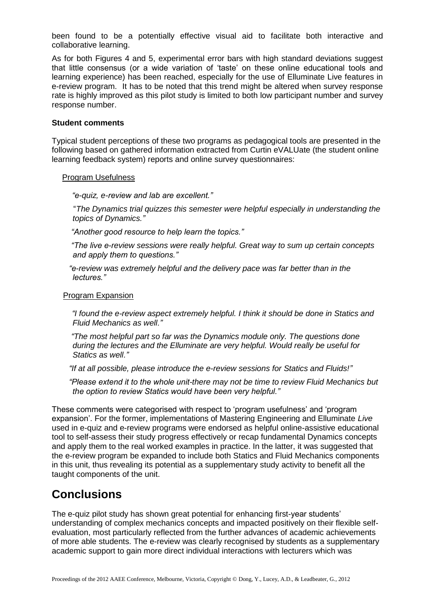been found to be a potentially effective visual aid to facilitate both interactive and collaborative learning.

As for both Figures 4 and 5, experimental error bars with high standard deviations suggest that little consensus (or a wide variation of 'taste' on these online educational tools and learning experience) has been reached, especially for the use of Elluminate Live features in e-review program. It has to be noted that this trend might be altered when survey response rate is highly improved as this pilot study is limited to both low participant number and survey response number.

#### **Student comments**

Typical student perceptions of these two programs as pedagogical tools are presented in the following based on gathered information extracted from Curtin eVALUate (the student online learning feedback system) reports and online survey questionnaires:

#### Program Usefulness

 *"e-quiz, e-review and lab are excellent."*

 "*The Dynamics trial quizzes this semester were helpful especially in understanding the topics of Dynamics."*

 *"Another good resource to help learn the topics."*

 *"The live e-review sessions were really helpful. Great way to sum up certain concepts and apply them to questions."* 

 *"e-review was extremely helpful and the delivery pace was far better than in the lectures."*

#### Program Expansion

 *"I found the e-review aspect extremely helpful. I think it should be done in Statics and Fluid Mechanics as well."*

 *"The most helpful part so far was the Dynamics module only. The questions done during the lectures and the Elluminate are very helpful. Would really be useful for Statics as well."* 

 *"If at all possible, please introduce the e-review sessions for Statics and Fluids!"*

 *"Please extend it to the whole unit-there may not be time to review Fluid Mechanics but the option to review Statics would have been very helpful."*

These comments were categorised with respect to 'program usefulness' and 'program expansion'. For the former, implementations of Mastering Engineering and Elluminate *Live* used in e-quiz and e-review programs were endorsed as helpful online-assistive educational tool to self-assess their study progress effectively or recap fundamental Dynamics concepts and apply them to the real worked examples in practice. In the latter, it was suggested that the e-review program be expanded to include both Statics and Fluid Mechanics components in this unit, thus revealing its potential as a supplementary study activity to benefit all the taught components of the unit.

## **Conclusions**

The e-quiz pilot study has shown great potential for enhancing first-year students' understanding of complex mechanics concepts and impacted positively on their flexible selfevaluation, most particularly reflected from the further advances of academic achievements of more able students. The e-review was clearly recognised by students as a supplementary academic support to gain more direct individual interactions with lecturers which was